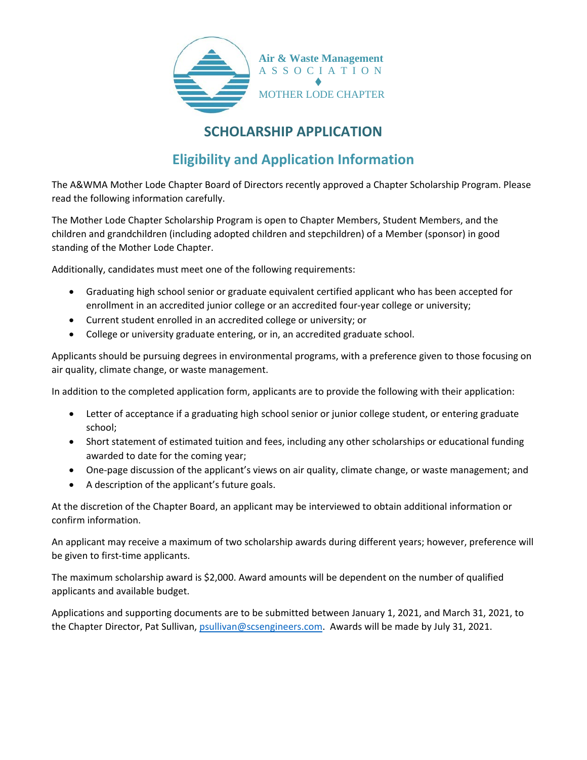

## **SCHOLARSHIP APPLICATION**

# **Eligibility and Application Information**

The A&WMA Mother Lode Chapter Board of Directors recently approved a Chapter Scholarship Program. Please read the following information carefully.

The Mother Lode Chapter Scholarship Program is open to Chapter Members, Student Members, and the children and grandchildren (including adopted children and stepchildren) of a Member (sponsor) in good standing of the Mother Lode Chapter.

Additionally, candidates must meet one of the following requirements:

- Graduating high school senior or graduate equivalent certified applicant who has been accepted for enrollment in an accredited junior college or an accredited four-year college or university;
- Current student enrolled in an accredited college or university; or
- College or university graduate entering, or in, an accredited graduate school.

Applicants should be pursuing degrees in environmental programs, with a preference given to those focusing on air quality, climate change, or waste management.

In addition to the completed application form, applicants are to provide the following with their application:

- Letter of acceptance if a graduating high school senior or junior college student, or entering graduate school;
- Short statement of estimated tuition and fees, including any other scholarships or educational funding awarded to date for the coming year;
- One-page discussion of the applicant's views on air quality, climate change, or waste management; and
- A description of the applicant's future goals.

At the discretion of the Chapter Board, an applicant may be interviewed to obtain additional information or confirm information.

An applicant may receive a maximum of two scholarship awards during different years; however, preference will be given to first-time applicants.

The maximum scholarship award is \$2,000. Award amounts will be dependent on the number of qualified applicants and available budget.

Applications and supporting documents are to be submitted between January 1, 2021, and March 31, 2021, to the Chapter Director, Pat Sullivan, [psullivan@scsengineers.com.](mailto:psullivan@scsengineers.com) Awards will be made by July 31, 2021.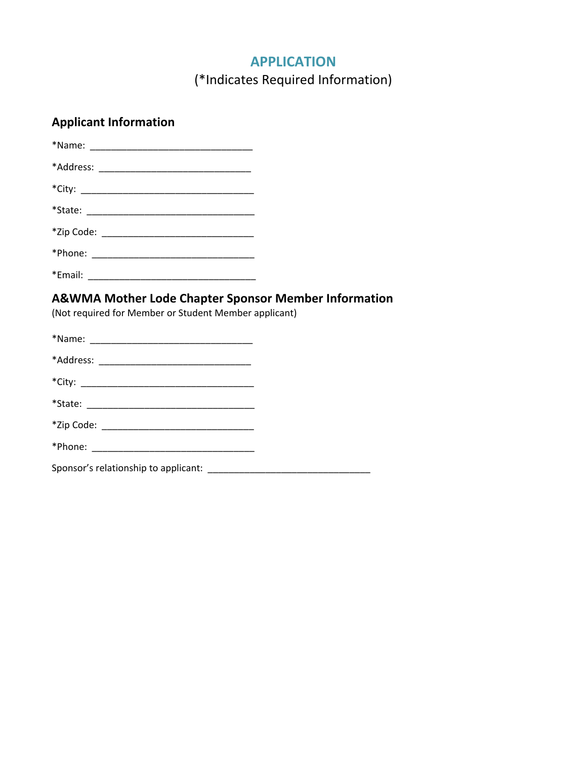### **APPLICATION**

(\*Indicates Required Information)

#### **Applicant Information**

\*Email: \_\_\_\_\_\_\_\_\_\_\_\_\_\_\_\_\_\_\_\_\_\_\_\_\_\_\_\_\_\_\_\_

### **A&WMA Mother Lode Chapter Sponsor Member Information**

(Not required for Member or Student Member applicant)